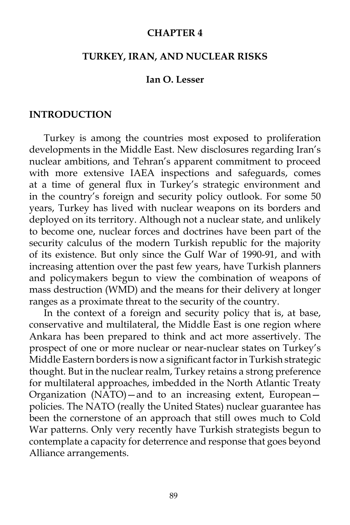#### **CHAPTER 4**

## **TURKEY, IRAN, AND NUCLEAR RISKS**

#### **Ian O. Lesser**

#### **INTRODUCTION**

 Turkey is among the countries most exposed to proliferation developments in the Middle East. New disclosures regarding Iran's nuclear ambitions, and Tehran's apparent commitment to proceed with more extensive IAEA inspections and safeguards, comes at a time of general flux in Turkey's strategic environment and in the country's foreign and security policy outlook. For some 50 years, Turkey has lived with nuclear weapons on its borders and deployed on its territory. Although not a nuclear state, and unlikely to become one, nuclear forces and doctrines have been part of the security calculus of the modern Turkish republic for the majority of its existence. But only since the Gulf War of 1990-91, and with increasing attention over the past few years, have Turkish planners and policymakers begun to view the combination of weapons of mass destruction (WMD) and the means for their delivery at longer ranges as a proximate threat to the security of the country.

 In the context of a foreign and security policy that is, at base, conservative and multilateral, the Middle East is one region where Ankara has been prepared to think and act more assertively. The prospect of one or more nuclear or near-nuclear states on Turkey's Middle Eastern borders is now a significant factor in Turkish strategic thought. But in the nuclear realm, Turkey retains a strong preference for multilateral approaches, imbedded in the North Atlantic Treaty Organization (NATO)—and to an increasing extent, European policies. The NATO (really the United States) nuclear guarantee has been the cornerstone of an approach that still owes much to Cold War patterns. Only very recently have Turkish strategists begun to contemplate a capacity for deterrence and response that goes beyond Alliance arrangements.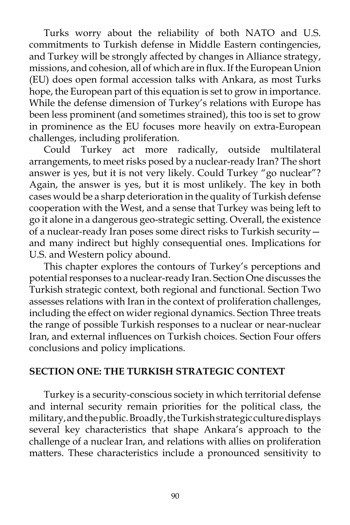Turks worry about the reliability of both NATO and U.S. commitments to Turkish defense in Middle Eastern contingencies, and Turkey will be strongly affected by changes in Alliance strategy, missions, and cohesion, all of which are in flux. If the European Union (EU) does open formal accession talks with Ankara, as most Turks hope, the European part of this equation is set to grow in importance. While the defense dimension of Turkey's relations with Europe has been less prominent (and sometimes strained), this too is set to grow in prominence as the EU focuses more heavily on extra-European challenges, including proliferation.

 Could Turkey act more radically, outside multilateral arrangements, to meet risks posed by a nuclear-ready Iran? The short answer is yes, but it is not very likely. Could Turkey "go nuclear"? Again, the answer is yes, but it is most unlikely. The key in both cases would be a sharp deterioration in the quality of Turkish defense cooperation with the West, and a sense that Turkey was being left to go it alone in a dangerous geo-strategic setting. Overall, the existence of a nuclear-ready Iran poses some direct risks to Turkish security and many indirect but highly consequential ones. Implications for U.S. and Western policy abound.

 This chapter explores the contours of Turkey's perceptions and potential responses to a nuclear-ready Iran. Section One discusses the Turkish strategic context, both regional and functional. Section Two assesses relations with Iran in the context of proliferation challenges, including the effect on wider regional dynamics. Section Three treats the range of possible Turkish responses to a nuclear or near-nuclear Iran, and external influences on Turkish choices. Section Four offers conclusions and policy implications.

#### **SECTION ONE: THE TURKISH STRATEGIC CONTEXT**

 Turkey is a security-conscious society in which territorial defense and internal security remain priorities for the political class, the military, and the public. Broadly, the Turkish strategic culture displays several key characteristics that shape Ankara's approach to the challenge of a nuclear Iran, and relations with allies on proliferation matters. These characteristics include a pronounced sensitivity to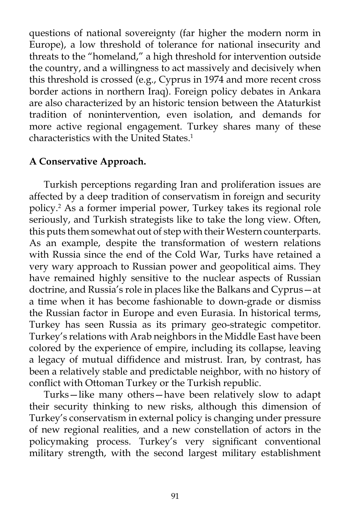questions of national sovereignty (far higher the modern norm in Europe), a low threshold of tolerance for national insecurity and threats to the "homeland," a high threshold for intervention outside the country, and a willingness to act massively and decisively when this threshold is crossed (e.g., Cyprus in 1974 and more recent cross border actions in northern Iraq). Foreign policy debates in Ankara are also characterized by an historic tension between the Ataturkist tradition of nonintervention, even isolation, and demands for more active regional engagement. Turkey shares many of these characteristics with the United States<sup>1</sup>

# **A Conservative Approach.**

 Turkish perceptions regarding Iran and proliferation issues are affected by a deep tradition of conservatism in foreign and security policy.2 As a former imperial power, Turkey takes its regional role seriously, and Turkish strategists like to take the long view. Often, this puts them somewhat out of step with their Western counterparts. As an example, despite the transformation of western relations with Russia since the end of the Cold War, Turks have retained a very wary approach to Russian power and geopolitical aims. They have remained highly sensitive to the nuclear aspects of Russian doctrine, and Russia's role in places like the Balkans and Cyprus—at a time when it has become fashionable to down-grade or dismiss the Russian factor in Europe and even Eurasia. In historical terms, Turkey has seen Russia as its primary geo-strategic competitor. Turkey's relations with Arab neighbors in the Middle East have been colored by the experience of empire, including its collapse, leaving a legacy of mutual diffidence and mistrust. Iran, by contrast, has been a relatively stable and predictable neighbor, with no history of conflict with Ottoman Turkey or the Turkish republic.

 Turks—like many others—have been relatively slow to adapt their security thinking to new risks, although this dimension of Turkey's conservatism in external policy is changing under pressure of new regional realities, and a new constellation of actors in the policymaking process. Turkey's very significant conventional military strength, with the second largest military establishment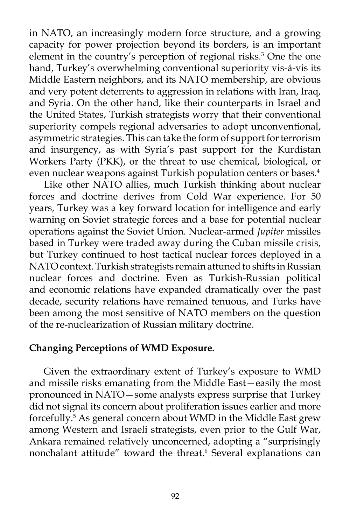in NATO, an increasingly modern force structure, and a growing capacity for power projection beyond its borders, is an important element in the country's perception of regional risks.<sup>3</sup> One the one hand, Turkey's overwhelming conventional superiority vis-á-vis its Middle Eastern neighbors, and its NATO membership, are obvious and very potent deterrents to aggression in relations with Iran, Iraq, and Syria. On the other hand, like their counterparts in Israel and the United States, Turkish strategists worry that their conventional superiority compels regional adversaries to adopt unconventional, asymmetric strategies. This can take the form of support for terrorism and insurgency, as with Syria's past support for the Kurdistan Workers Party (PKK), or the threat to use chemical, biological, or even nuclear weapons against Turkish population centers or bases.<sup>4</sup>

 Like other NATO allies, much Turkish thinking about nuclear forces and doctrine derives from Cold War experience. For 50 years, Turkey was a key forward location for intelligence and early warning on Soviet strategic forces and a base for potential nuclear operations against the Soviet Union. Nuclear-armed *Jupiter* missiles based in Turkey were traded away during the Cuban missile crisis, but Turkey continued to host tactical nuclear forces deployed in a NATO context. Turkish strategists remain attuned to shifts in Russian nuclear forces and doctrine. Even as Turkish-Russian political and economic relations have expanded dramatically over the past decade, security relations have remained tenuous, and Turks have been among the most sensitive of NATO members on the question of the re-nuclearization of Russian military doctrine.

# **Changing Perceptions of WMD Exposure.**

 Given the extraordinary extent of Turkey's exposure to WMD and missile risks emanating from the Middle East—easily the most pronounced in NATO—some analysts express surprise that Turkey did not signal its concern about proliferation issues earlier and more forcefully.5 As general concern about WMD in the Middle East grew among Western and Israeli strategists, even prior to the Gulf War, Ankara remained relatively unconcerned, adopting a "surprisingly nonchalant attitude" toward the threat.<sup>6</sup> Several explanations can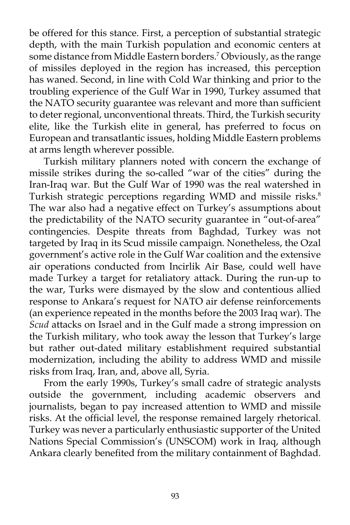be offered for this stance. First, a perception of substantial strategic depth, with the main Turkish population and economic centers at some distance from Middle Eastern borders.7 Obviously, as the range of missiles deployed in the region has increased, this perception has waned. Second, in line with Cold War thinking and prior to the troubling experience of the Gulf War in 1990, Turkey assumed that the NATO security guarantee was relevant and more than sufficient to deter regional, unconventional threats. Third, the Turkish security elite, like the Turkish elite in general, has preferred to focus on European and transatlantic issues, holding Middle Eastern problems at arms length wherever possible.

 Turkish military planners noted with concern the exchange of missile strikes during the so-called "war of the cities" during the Iran-Iraq war. But the Gulf War of 1990 was the real watershed in Turkish strategic perceptions regarding WMD and missile risks.<sup>8</sup> The war also had a negative effect on Turkey's assumptions about the predictability of the NATO security guarantee in "out-of-area" contingencies. Despite threats from Baghdad, Turkey was not targeted by Iraq in its Scud missile campaign. Nonetheless, the Ozal government's active role in the Gulf War coalition and the extensive air operations conducted from Incirlik Air Base, could well have made Turkey a target for retaliatory attack. During the run-up to the war, Turks were dismayed by the slow and contentious allied response to Ankara's request for NATO air defense reinforcements (an experience repeated in the months before the 2003 Iraq war). The *Scud* attacks on Israel and in the Gulf made a strong impression on the Turkish military, who took away the lesson that Turkey's large but rather out-dated military establishment required substantial modernization, including the ability to address WMD and missile risks from Iraq, Iran, and, above all, Syria.

 From the early 1990s, Turkey's small cadre of strategic analysts outside the government, including academic observers and journalists, began to pay increased attention to WMD and missile risks. At the official level, the response remained largely rhetorical. Turkey was never a particularly enthusiastic supporter of the United Nations Special Commission's (UNSCOM) work in Iraq, although Ankara clearly benefited from the military containment of Baghdad.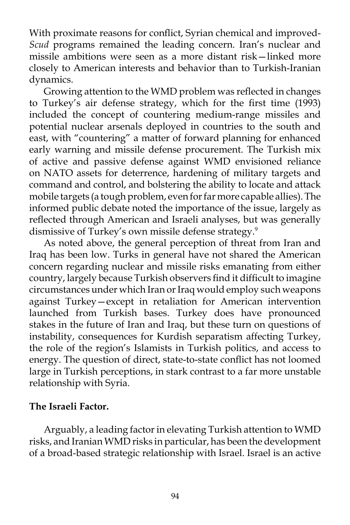With proximate reasons for conflict, Syrian chemical and improved-*Scud* programs remained the leading concern. Iran's nuclear and missile ambitions were seen as a more distant risk—linked more closely to American interests and behavior than to Turkish-Iranian dynamics.

 Growing attention to the WMD problem was reflected in changes to Turkey's air defense strategy, which for the first time (1993) included the concept of countering medium-range missiles and potential nuclear arsenals deployed in countries to the south and east, with "countering" a matter of forward planning for enhanced early warning and missile defense procurement. The Turkish mix of active and passive defense against WMD envisioned reliance on NATO assets for deterrence, hardening of military targets and command and control, and bolstering the ability to locate and attack mobile targets (a tough problem, even for far more capable allies). The informed public debate noted the importance of the issue, largely as reflected through American and Israeli analyses, but was generally dismissive of Turkey's own missile defense strategy.<sup>9</sup>

 As noted above, the general perception of threat from Iran and Iraq has been low. Turks in general have not shared the American concern regarding nuclear and missile risks emanating from either country, largely because Turkish observers find it difficult to imagine circumstances under which Iran or Iraq would employ such weapons against Turkey—except in retaliation for American intervention launched from Turkish bases. Turkey does have pronounced stakes in the future of Iran and Iraq, but these turn on questions of instability, consequences for Kurdish separatism affecting Turkey, the role of the region's Islamists in Turkish politics, and access to energy. The question of direct, state-to-state conflict has not loomed large in Turkish perceptions, in stark contrast to a far more unstable relationship with Syria.

## **The Israeli Factor.**

 Arguably, a leading factor in elevating Turkish attention to WMD risks, and Iranian WMD risks in particular, has been the development of a broad-based strategic relationship with Israel. Israel is an active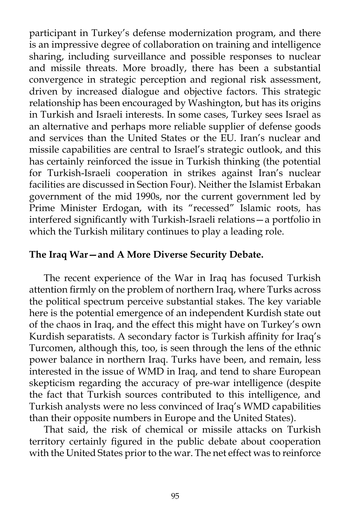participant in Turkey's defense modernization program, and there is an impressive degree of collaboration on training and intelligence sharing, including surveillance and possible responses to nuclear and missile threats. More broadly, there has been a substantial convergence in strategic perception and regional risk assessment, driven by increased dialogue and objective factors. This strategic relationship has been encouraged by Washington, but has its origins in Turkish and Israeli interests. In some cases, Turkey sees Israel as an alternative and perhaps more reliable supplier of defense goods and services than the United States or the EU. Iran's nuclear and missile capabilities are central to Israel's strategic outlook, and this has certainly reinforced the issue in Turkish thinking (the potential for Turkish-Israeli cooperation in strikes against Iran's nuclear facilities are discussed in Section Four). Neither the Islamist Erbakan government of the mid 1990s, nor the current government led by Prime Minister Erdogan, with its "recessed" Islamic roots, has interfered significantly with Turkish-Israeli relations—a portfolio in which the Turkish military continues to play a leading role.

#### **The Iraq War—and A More Diverse Security Debate.**

 The recent experience of the War in Iraq has focused Turkish attention firmly on the problem of northern Iraq, where Turks across the political spectrum perceive substantial stakes. The key variable here is the potential emergence of an independent Kurdish state out of the chaos in Iraq, and the effect this might have on Turkey's own Kurdish separatists. A secondary factor is Turkish affinity for Iraq's Turcomen, although this, too, is seen through the lens of the ethnic power balance in northern Iraq. Turks have been, and remain, less interested in the issue of WMD in Iraq, and tend to share European skepticism regarding the accuracy of pre-war intelligence (despite the fact that Turkish sources contributed to this intelligence, and Turkish analysts were no less convinced of Iraq's WMD capabilities than their opposite numbers in Europe and the United States).

 That said, the risk of chemical or missile attacks on Turkish territory certainly figured in the public debate about cooperation with the United States prior to the war. The net effect was to reinforce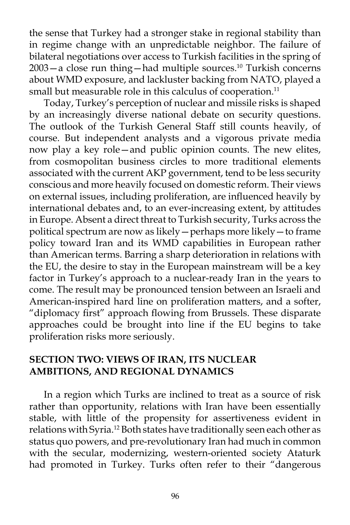the sense that Turkey had a stronger stake in regional stability than in regime change with an unpredictable neighbor. The failure of bilateral negotiations over access to Turkish facilities in the spring of 2003—a close run thing—had multiple sources.10 Turkish concerns about WMD exposure, and lackluster backing from NATO, played a small but measurable role in this calculus of cooperation.<sup>11</sup>

 Today, Turkey's perception of nuclear and missile risks is shaped by an increasingly diverse national debate on security questions. The outlook of the Turkish General Staff still counts heavily, of course. But independent analysts and a vigorous private media now play a key role—and public opinion counts. The new elites, from cosmopolitan business circles to more traditional elements associated with the current AKP government, tend to be less security conscious and more heavily focused on domestic reform. Their views on external issues, including proliferation, are influenced heavily by international debates and, to an ever-increasing extent, by attitudes in Europe. Absent a direct threat to Turkish security, Turks across the political spectrum are now as likely—perhaps more likely—to frame policy toward Iran and its WMD capabilities in European rather than American terms. Barring a sharp deterioration in relations with the EU, the desire to stay in the European mainstream will be a key factor in Turkey's approach to a nuclear-ready Iran in the years to come. The result may be pronounced tension between an Israeli and American-inspired hard line on proliferation matters, and a softer, "diplomacy first" approach flowing from Brussels. These disparate approaches could be brought into line if the EU begins to take proliferation risks more seriously.

# **SECTION TWO: VIEWS OF IRAN, ITS NUCLEAR AMBITIONS, AND REGIONAL DYNAMICS**

 In a region which Turks are inclined to treat as a source of risk rather than opportunity, relations with Iran have been essentially stable, with little of the propensity for assertiveness evident in relations with Syria.<sup>12</sup> Both states have traditionally seen each other as status quo powers, and pre-revolutionary Iran had much in common with the secular, modernizing, western-oriented society Ataturk had promoted in Turkey. Turks often refer to their "dangerous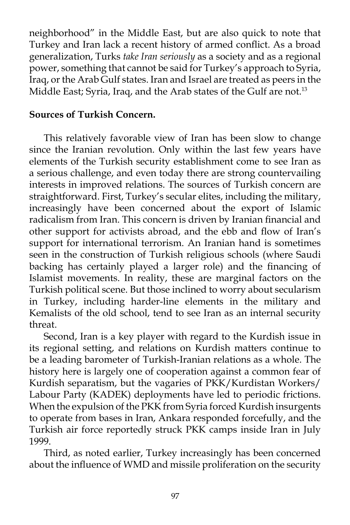neighborhood" in the Middle East, but are also quick to note that Turkey and Iran lack a recent history of armed conflict. As a broad generalization, Turks *take Iran seriously* as a society and as a regional power, something that cannot be said for Turkey's approach to Syria, Iraq, or the Arab Gulf states. Iran and Israel are treated as peers in the Middle East; Syria, Iraq, and the Arab states of the Gulf are not.<sup>13</sup>

### **Sources of Turkish Concern.**

 This relatively favorable view of Iran has been slow to change since the Iranian revolution. Only within the last few years have elements of the Turkish security establishment come to see Iran as a serious challenge, and even today there are strong countervailing interests in improved relations. The sources of Turkish concern are straightforward. First, Turkey's secular elites, including the military, increasingly have been concerned about the export of Islamic radicalism from Iran. This concern is driven by Iranian financial and other support for activists abroad, and the ebb and flow of Iran's support for international terrorism. An Iranian hand is sometimes seen in the construction of Turkish religious schools (where Saudi backing has certainly played a larger role) and the financing of Islamist movements. In reality, these are marginal factors on the Turkish political scene. But those inclined to worry about secularism in Turkey, including harder-line elements in the military and Kemalists of the old school, tend to see Iran as an internal security threat.

 Second, Iran is a key player with regard to the Kurdish issue in its regional setting, and relations on Kurdish matters continue to be a leading barometer of Turkish-Iranian relations as a whole. The history here is largely one of cooperation against a common fear of Kurdish separatism, but the vagaries of PKK/Kurdistan Workers/ Labour Party (KADEK) deployments have led to periodic frictions. When the expulsion of the PKK from Syria forced Kurdish insurgents to operate from bases in Iran, Ankara responded forcefully, and the Turkish air force reportedly struck PKK camps inside Iran in July 1999.

 Third, as noted earlier, Turkey increasingly has been concerned about the influence of WMD and missile proliferation on the security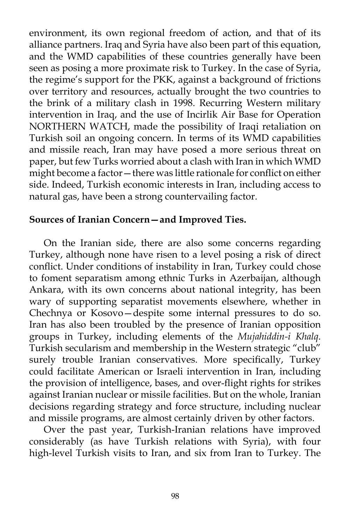environment, its own regional freedom of action, and that of its alliance partners. Iraq and Syria have also been part of this equation, and the WMD capabilities of these countries generally have been seen as posing a more proximate risk to Turkey. In the case of Syria, the regime's support for the PKK, against a background of frictions over territory and resources, actually brought the two countries to the brink of a military clash in 1998. Recurring Western military intervention in Iraq, and the use of Incirlik Air Base for Operation NORTHERN WATCH, made the possibility of Iraqi retaliation on Turkish soil an ongoing concern. In terms of its WMD capabilities and missile reach, Iran may have posed a more serious threat on paper, but few Turks worried about a clash with Iran in which WMD might become a factor—there was little rationale for conflict on either side. Indeed, Turkish economic interests in Iran, including access to natural gas, have been a strong countervailing factor.

#### **Sources of Iranian Concern—and Improved Ties.**

 On the Iranian side, there are also some concerns regarding Turkey, although none have risen to a level posing a risk of direct conflict. Under conditions of instability in Iran, Turkey could chose to foment separatism among ethnic Turks in Azerbaijan, although Ankara, with its own concerns about national integrity, has been wary of supporting separatist movements elsewhere, whether in Chechnya or Kosovo—despite some internal pressures to do so. Iran has also been troubled by the presence of Iranian opposition groups in Turkey, including elements of the *Mujahiddin-i Khalq*. Turkish secularism and membership in the Western strategic "club" surely trouble Iranian conservatives. More specifically, Turkey could facilitate American or Israeli intervention in Iran, including the provision of intelligence, bases, and over-flight rights for strikes against Iranian nuclear or missile facilities. But on the whole, Iranian decisions regarding strategy and force structure, including nuclear and missile programs, are almost certainly driven by other factors.

 Over the past year, Turkish-Iranian relations have improved considerably (as have Turkish relations with Syria), with four high-level Turkish visits to Iran, and six from Iran to Turkey. The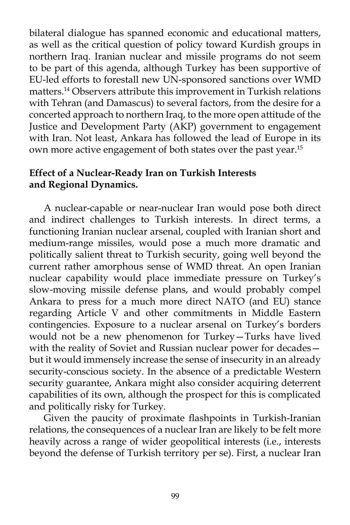bilateral dialogue has spanned economic and educational matters, as well as the critical question of policy toward Kurdish groups in northern Iraq. Iranian nuclear and missile programs do not seem to be part of this agenda, although Turkey has been supportive of EU-led efforts to forestall new UN-sponsored sanctions over WMD matters.14 Observers attribute this improvement in Turkish relations with Tehran (and Damascus) to several factors, from the desire for a concerted approach to northern Iraq, to the more open attitude of the Justice and Development Party (AKP) government to engagement with Iran. Not least, Ankara has followed the lead of Europe in its own more active engagement of both states over the past year.<sup>15</sup>

# **Effect of a Nuclear-Ready Iran on Turkish Interests and Regional Dynamics.**

 A nuclear-capable or near-nuclear Iran would pose both direct and indirect challenges to Turkish interests. In direct terms, a functioning Iranian nuclear arsenal, coupled with Iranian short and medium-range missiles, would pose a much more dramatic and politically salient threat to Turkish security, going well beyond the current rather amorphous sense of WMD threat. An open Iranian nuclear capability would place immediate pressure on Turkey's slow-moving missile defense plans, and would probably compel Ankara to press for a much more direct NATO (and EU) stance regarding Article V and other commitments in Middle Eastern contingencies. Exposure to a nuclear arsenal on Turkey's borders would not be a new phenomenon for Turkey—Turks have lived with the reality of Soviet and Russian nuclear power for decades but it would immensely increase the sense of insecurity in an already security-conscious society. In the absence of a predictable Western security guarantee, Ankara might also consider acquiring deterrent capabilities of its own, although the prospect for this is complicated and politically risky for Turkey.

 Given the paucity of proximate flashpoints in Turkish-Iranian relations, the consequences of a nuclear Iran are likely to be felt more heavily across a range of wider geopolitical interests (i.e., interests beyond the defense of Turkish territory per se). First, a nuclear Iran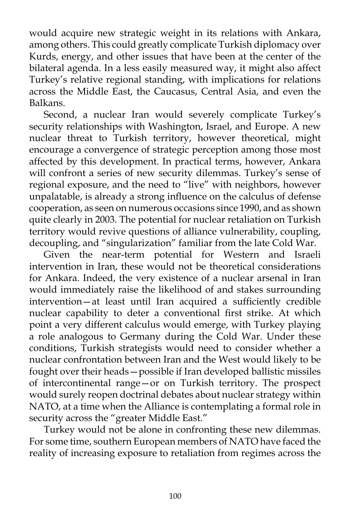would acquire new strategic weight in its relations with Ankara, among others. This could greatly complicate Turkish diplomacy over Kurds, energy, and other issues that have been at the center of the bilateral agenda. In a less easily measured way, it might also affect Turkey's relative regional standing, with implications for relations across the Middle East, the Caucasus, Central Asia, and even the Balkans.

 Second, a nuclear Iran would severely complicate Turkey's security relationships with Washington, Israel, and Europe. A new nuclear threat to Turkish territory, however theoretical, might encourage a convergence of strategic perception among those most affected by this development. In practical terms, however, Ankara will confront a series of new security dilemmas. Turkey's sense of regional exposure, and the need to "live" with neighbors, however unpalatable, is already a strong influence on the calculus of defense cooperation, as seen on numerous occasions since 1990, and as shown quite clearly in 2003. The potential for nuclear retaliation on Turkish territory would revive questions of alliance vulnerability, coupling, decoupling, and "singularization" familiar from the late Cold War.

 Given the near-term potential for Western and Israeli intervention in Iran, these would not be theoretical considerations for Ankara. Indeed, the very existence of a nuclear arsenal in Iran would immediately raise the likelihood of and stakes surrounding intervention—at least until Iran acquired a sufficiently credible nuclear capability to deter a conventional first strike. At which point a very different calculus would emerge, with Turkey playing a role analogous to Germany during the Cold War. Under these conditions, Turkish strategists would need to consider whether a nuclear confrontation between Iran and the West would likely to be fought over their heads—possible if Iran developed ballistic missiles of intercontinental range—or on Turkish territory. The prospect would surely reopen doctrinal debates about nuclear strategy within NATO, at a time when the Alliance is contemplating a formal role in security across the "greater Middle East."

 Turkey would not be alone in confronting these new dilemmas. For some time, southern European members of NATO have faced the reality of increasing exposure to retaliation from regimes across the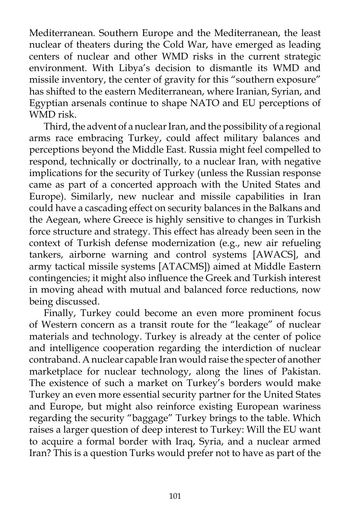Mediterranean. Southern Europe and the Mediterranean, the least nuclear of theaters during the Cold War, have emerged as leading centers of nuclear and other WMD risks in the current strategic environment. With Libya's decision to dismantle its WMD and missile inventory, the center of gravity for this "southern exposure" has shifted to the eastern Mediterranean, where Iranian, Syrian, and Egyptian arsenals continue to shape NATO and EU perceptions of WMD risk.

 Third, the advent of a nuclear Iran, and the possibility of a regional arms race embracing Turkey, could affect military balances and perceptions beyond the Middle East. Russia might feel compelled to respond, technically or doctrinally, to a nuclear Iran, with negative implications for the security of Turkey (unless the Russian response came as part of a concerted approach with the United States and Europe). Similarly, new nuclear and missile capabilities in Iran could have a cascading effect on security balances in the Balkans and the Aegean, where Greece is highly sensitive to changes in Turkish force structure and strategy. This effect has already been seen in the context of Turkish defense modernization (e.g., new air refueling tankers, airborne warning and control systems [AWACS], and army tactical missile systems [ATACMS]) aimed at Middle Eastern contingencies; it might also influence the Greek and Turkish interest in moving ahead with mutual and balanced force reductions, now being discussed.

 Finally, Turkey could become an even more prominent focus of Western concern as a transit route for the "leakage" of nuclear materials and technology. Turkey is already at the center of police and intelligence cooperation regarding the interdiction of nuclear contraband. A nuclear capable Iran would raise the specter of another marketplace for nuclear technology, along the lines of Pakistan. The existence of such a market on Turkey's borders would make Turkey an even more essential security partner for the United States and Europe, but might also reinforce existing European wariness regarding the security "baggage" Turkey brings to the table. Which raises a larger question of deep interest to Turkey: Will the EU want to acquire a formal border with Iraq, Syria, and a nuclear armed Iran? This is a question Turks would prefer not to have as part of the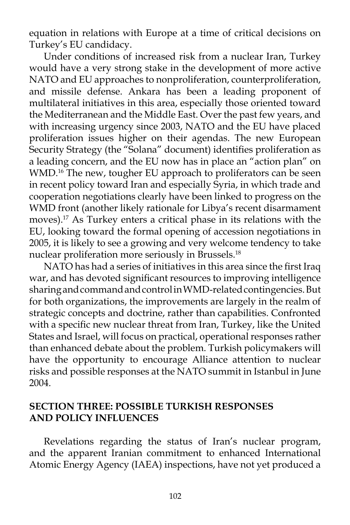equation in relations with Europe at a time of critical decisions on Turkey's EU candidacy.

 Under conditions of increased risk from a nuclear Iran, Turkey would have a very strong stake in the development of more active NATO and EU approaches to nonproliferation, counterproliferation, and missile defense. Ankara has been a leading proponent of multilateral initiatives in this area, especially those oriented toward the Mediterranean and the Middle East. Over the past few years, and with increasing urgency since 2003, NATO and the EU have placed proliferation issues higher on their agendas. The new European Security Strategy (the "Solana" document) identifies proliferation as a leading concern, and the EU now has in place an "action plan" on WMD.<sup>16</sup> The new, tougher EU approach to proliferators can be seen in recent policy toward Iran and especially Syria, in which trade and cooperation negotiations clearly have been linked to progress on the WMD front (another likely rationale for Libya's recent disarmament moves).17 As Turkey enters a critical phase in its relations with the EU, looking toward the formal opening of accession negotiations in 2005, it is likely to see a growing and very welcome tendency to take nuclear proliferation more seriously in Brussels.18

 NATO has had a series of initiatives in this area since the first Iraq war, and has devoted significant resources to improving intelligence sharing and command and control in WMD-related contingencies. But for both organizations, the improvements are largely in the realm of strategic concepts and doctrine, rather than capabilities. Confronted with a specific new nuclear threat from Iran, Turkey, like the United States and Israel, will focus on practical, operational responses rather than enhanced debate about the problem. Turkish policymakers will have the opportunity to encourage Alliance attention to nuclear risks and possible responses at the NATO summit in Istanbul in June 2004.

## **SECTION THREE: POSSIBLE TURKISH RESPONSES AND POLICY INFLUENCES**

 Revelations regarding the status of Iran's nuclear program, and the apparent Iranian commitment to enhanced International Atomic Energy Agency (IAEA) inspections, have not yet produced a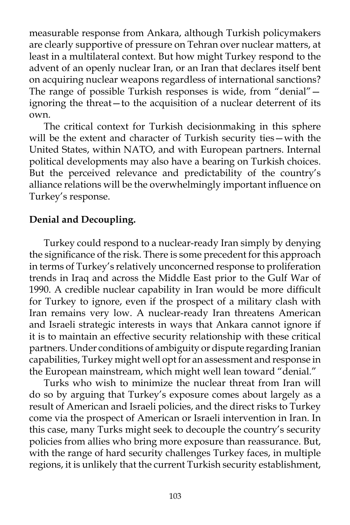measurable response from Ankara, although Turkish policymakers are clearly supportive of pressure on Tehran over nuclear matters, at least in a multilateral context. But how might Turkey respond to the advent of an openly nuclear Iran, or an Iran that declares itself bent on acquiring nuclear weapons regardless of international sanctions? The range of possible Turkish responses is wide, from "denial" ignoring the threat—to the acquisition of a nuclear deterrent of its own.

 The critical context for Turkish decisionmaking in this sphere will be the extent and character of Turkish security ties—with the United States, within NATO, and with European partners. Internal political developments may also have a bearing on Turkish choices. But the perceived relevance and predictability of the country's alliance relations will be the overwhelmingly important influence on Turkey's response.

# **Denial and Decoupling.**

 Turkey could respond to a nuclear-ready Iran simply by denying the significance of the risk. There is some precedent for this approach in terms of Turkey's relatively unconcerned response to proliferation trends in Iraq and across the Middle East prior to the Gulf War of 1990. A credible nuclear capability in Iran would be more difficult for Turkey to ignore, even if the prospect of a military clash with Iran remains very low. A nuclear-ready Iran threatens American and Israeli strategic interests in ways that Ankara cannot ignore if it is to maintain an effective security relationship with these critical partners. Under conditions of ambiguity or dispute regarding Iranian capabilities, Turkey might well opt for an assessment and response in the European mainstream, which might well lean toward "denial."

 Turks who wish to minimize the nuclear threat from Iran will do so by arguing that Turkey's exposure comes about largely as a result of American and Israeli policies, and the direct risks to Turkey come via the prospect of American or Israeli intervention in Iran. In this case, many Turks might seek to decouple the country's security policies from allies who bring more exposure than reassurance. But, with the range of hard security challenges Turkey faces, in multiple regions, it is unlikely that the current Turkish security establishment,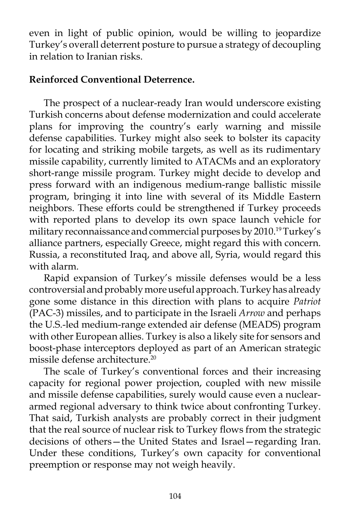even in light of public opinion, would be willing to jeopardize Turkey's overall deterrent posture to pursue a strategy of decoupling in relation to Iranian risks.

# **Reinforced Conventional Deterrence.**

 The prospect of a nuclear-ready Iran would underscore existing Turkish concerns about defense modernization and could accelerate plans for improving the country's early warning and missile defense capabilities. Turkey might also seek to bolster its capacity for locating and striking mobile targets, as well as its rudimentary missile capability, currently limited to ATACMs and an exploratory short-range missile program. Turkey might decide to develop and press forward with an indigenous medium-range ballistic missile program, bringing it into line with several of its Middle Eastern neighbors. These efforts could be strengthened if Turkey proceeds with reported plans to develop its own space launch vehicle for military reconnaissance and commercial purposes by 2010.19 Turkey's alliance partners, especially Greece, might regard this with concern. Russia, a reconstituted Iraq, and above all, Syria, would regard this with alarm.

 Rapid expansion of Turkey's missile defenses would be a less controversial and probably more useful approach. Turkey has already gone some distance in this direction with plans to acquire *Patriot* (PAC-3) missiles, and to participate in the Israeli *Arrow* and perhaps the U.S.-led medium-range extended air defense (MEADS) program with other European allies. Turkey is also a likely site for sensors and boost-phase interceptors deployed as part of an American strategic missile defense architecture.20

 The scale of Turkey's conventional forces and their increasing capacity for regional power projection, coupled with new missile and missile defense capabilities, surely would cause even a nucleararmed regional adversary to think twice about confronting Turkey. That said, Turkish analysts are probably correct in their judgment that the real source of nuclear risk to Turkey flows from the strategic decisions of others—the United States and Israel—regarding Iran. Under these conditions, Turkey's own capacity for conventional preemption or response may not weigh heavily.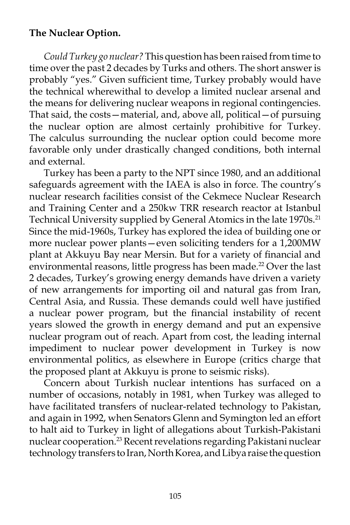# **The Nuclear Option.**

 *Could Turkey go nuclear?* This question has been raised from time to time over the past 2 decades by Turks and others. The short answer is probably "yes." Given sufficient time, Turkey probably would have the technical wherewithal to develop a limited nuclear arsenal and the means for delivering nuclear weapons in regional contingencies. That said, the costs—material, and, above all, political—of pursuing the nuclear option are almost certainly prohibitive for Turkey. The calculus surrounding the nuclear option could become more favorable only under drastically changed conditions, both internal and external.

 Turkey has been a party to the NPT since 1980, and an additional safeguards agreement with the IAEA is also in force. The country's nuclear research facilities consist of the Cekmece Nuclear Research and Training Center and a 250kw TRR research reactor at Istanbul Technical University supplied by General Atomics in the late 1970s.<sup>21</sup> Since the mid-1960s, Turkey has explored the idea of building one or more nuclear power plants—even soliciting tenders for a 1,200MW plant at Akkuyu Bay near Mersin. But for a variety of financial and environmental reasons, little progress has been made.<sup>22</sup> Over the last 2 decades, Turkey's growing energy demands have driven a variety of new arrangements for importing oil and natural gas from Iran, Central Asia, and Russia. These demands could well have justified a nuclear power program, but the financial instability of recent years slowed the growth in energy demand and put an expensive nuclear program out of reach. Apart from cost, the leading internal impediment to nuclear power development in Turkey is now environmental politics, as elsewhere in Europe (critics charge that the proposed plant at Akkuyu is prone to seismic risks).

 Concern about Turkish nuclear intentions has surfaced on a number of occasions, notably in 1981, when Turkey was alleged to have facilitated transfers of nuclear-related technology to Pakistan, and again in 1992, when Senators Glenn and Symington led an effort to halt aid to Turkey in light of allegations about Turkish-Pakistani nuclear cooperation.23 Recent revelations regarding Pakistani nuclear technology transfers to Iran, North Korea, and Libya raise the question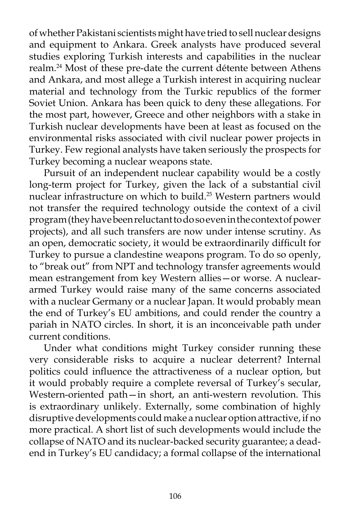of whether Pakistani scientists might have tried to sell nuclear designs and equipment to Ankara. Greek analysts have produced several studies exploring Turkish interests and capabilities in the nuclear realm.24 Most of these pre-date the current détente between Athens and Ankara, and most allege a Turkish interest in acquiring nuclear material and technology from the Turkic republics of the former Soviet Union. Ankara has been quick to deny these allegations. For the most part, however, Greece and other neighbors with a stake in Turkish nuclear developments have been at least as focused on the environmental risks associated with civil nuclear power projects in Turkey. Few regional analysts have taken seriously the prospects for Turkey becoming a nuclear weapons state.

 Pursuit of an independent nuclear capability would be a costly long-term project for Turkey, given the lack of a substantial civil nuclear infrastructure on which to build.<sup>25</sup> Western partners would not transfer the required technology outside the context of a civil program (they have been reluctant to do so even in the context of power projects), and all such transfers are now under intense scrutiny. As an open, democratic society, it would be extraordinarily difficult for Turkey to pursue a clandestine weapons program. To do so openly, to "break out" from NPT and technology transfer agreements would mean estrangement from key Western allies—or worse. A nucleararmed Turkey would raise many of the same concerns associated with a nuclear Germany or a nuclear Japan. It would probably mean the end of Turkey's EU ambitions, and could render the country a pariah in NATO circles. In short, it is an inconceivable path under current conditions.

 Under what conditions might Turkey consider running these very considerable risks to acquire a nuclear deterrent? Internal politics could influence the attractiveness of a nuclear option, but it would probably require a complete reversal of Turkey's secular, Western-oriented path—in short, an anti-western revolution. This is extraordinary unlikely. Externally, some combination of highly disruptive developments could make a nuclear option attractive, if no more practical. A short list of such developments would include the collapse of NATO and its nuclear-backed security guarantee; a deadend in Turkey's EU candidacy; a formal collapse of the international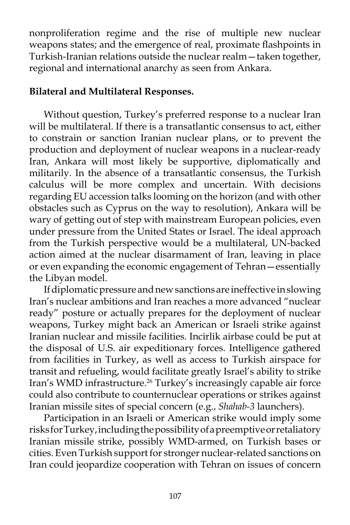nonproliferation regime and the rise of multiple new nuclear weapons states; and the emergence of real, proximate flashpoints in Turkish-Iranian relations outside the nuclear realm—taken together, regional and international anarchy as seen from Ankara.

# **Bilateral and Multilateral Responses.**

 Without question, Turkey's preferred response to a nuclear Iran will be multilateral. If there is a transatlantic consensus to act, either to constrain or sanction Iranian nuclear plans, or to prevent the production and deployment of nuclear weapons in a nuclear-ready Iran, Ankara will most likely be supportive, diplomatically and militarily. In the absence of a transatlantic consensus, the Turkish calculus will be more complex and uncertain. With decisions regarding EU accession talks looming on the horizon (and with other obstacles such as Cyprus on the way to resolution), Ankara will be wary of getting out of step with mainstream European policies, even under pressure from the United States or Israel. The ideal approach from the Turkish perspective would be a multilateral, UN-backed action aimed at the nuclear disarmament of Iran, leaving in place or even expanding the economic engagement of Tehran—essentially the Libyan model.

 If diplomatic pressure and new sanctions are ineffective in slowing Iran's nuclear ambitions and Iran reaches a more advanced "nuclear ready" posture or actually prepares for the deployment of nuclear weapons, Turkey might back an American or Israeli strike against Iranian nuclear and missile facilities. Incirlik airbase could be put at the disposal of U.S. air expeditionary forces. Intelligence gathered from facilities in Turkey, as well as access to Turkish airspace for transit and refueling, would facilitate greatly Israel's ability to strike Iran's WMD infrastructure.<sup>26</sup> Turkey's increasingly capable air force could also contribute to counternuclear operations or strikes against Iranian missile sites of special concern (e.g., *Shahab-3* launchers).

 Participation in an Israeli or American strike would imply some risks for Turkey, including the possibility of a preemptive or retaliatory Iranian missile strike, possibly WMD-armed, on Turkish bases or cities. Even Turkish support for stronger nuclear-related sanctions on Iran could jeopardize cooperation with Tehran on issues of concern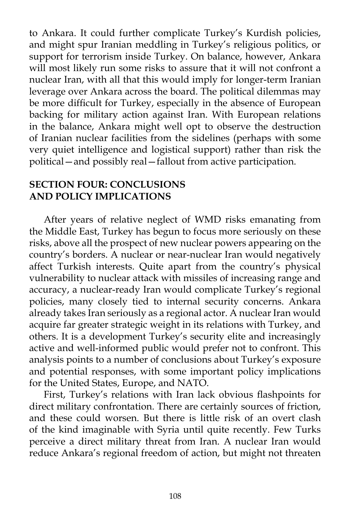to Ankara. It could further complicate Turkey's Kurdish policies, and might spur Iranian meddling in Turkey's religious politics, or support for terrorism inside Turkey. On balance, however, Ankara will most likely run some risks to assure that it will not confront a nuclear Iran, with all that this would imply for longer-term Iranian leverage over Ankara across the board. The political dilemmas may be more difficult for Turkey, especially in the absence of European backing for military action against Iran. With European relations in the balance, Ankara might well opt to observe the destruction of Iranian nuclear facilities from the sidelines (perhaps with some very quiet intelligence and logistical support) rather than risk the political—and possibly real—fallout from active participation.

# **SECTION FOUR: CONCLUSIONS AND POLICY IMPLICATIONS**

 After years of relative neglect of WMD risks emanating from the Middle East, Turkey has begun to focus more seriously on these risks, above all the prospect of new nuclear powers appearing on the country's borders. A nuclear or near-nuclear Iran would negatively affect Turkish interests. Quite apart from the country's physical vulnerability to nuclear attack with missiles of increasing range and accuracy, a nuclear-ready Iran would complicate Turkey's regional policies, many closely tied to internal security concerns. Ankara already takes Iran seriously as a regional actor. A nuclear Iran would acquire far greater strategic weight in its relations with Turkey, and others. It is a development Turkey's security elite and increasingly active and well-informed public would prefer not to confront. This analysis points to a number of conclusions about Turkey's exposure and potential responses, with some important policy implications for the United States, Europe, and NATO.

 First, Turkey's relations with Iran lack obvious flashpoints for direct military confrontation. There are certainly sources of friction, and these could worsen. But there is little risk of an overt clash of the kind imaginable with Syria until quite recently. Few Turks perceive a direct military threat from Iran. A nuclear Iran would reduce Ankara's regional freedom of action, but might not threaten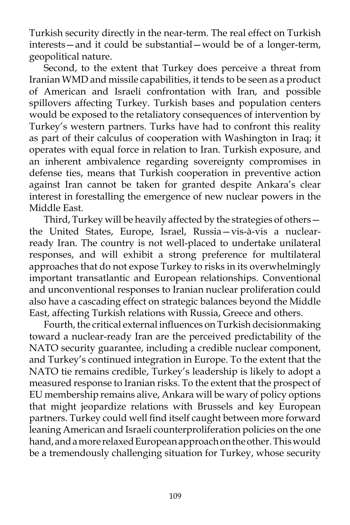Turkish security directly in the near-term. The real effect on Turkish interests—and it could be substantial—would be of a longer-term, geopolitical nature.

 Second, to the extent that Turkey does perceive a threat from Iranian WMD and missile capabilities, it tends to be seen as a product of American and Israeli confrontation with Iran, and possible spillovers affecting Turkey. Turkish bases and population centers would be exposed to the retaliatory consequences of intervention by Turkey's western partners. Turks have had to confront this reality as part of their calculus of cooperation with Washington in Iraq; it operates with equal force in relation to Iran. Turkish exposure, and an inherent ambivalence regarding sovereignty compromises in defense ties, means that Turkish cooperation in preventive action against Iran cannot be taken for granted despite Ankara's clear interest in forestalling the emergence of new nuclear powers in the Middle East.

 Third, Turkey will be heavily affected by the strategies of others the United States, Europe, Israel, Russia—vis-à-vis a nuclearready Iran. The country is not well-placed to undertake unilateral responses, and will exhibit a strong preference for multilateral approaches that do not expose Turkey to risks in its overwhelmingly important transatlantic and European relationships. Conventional and unconventional responses to Iranian nuclear proliferation could also have a cascading effect on strategic balances beyond the Middle East, affecting Turkish relations with Russia, Greece and others.

 Fourth, the critical external influences on Turkish decisionmaking toward a nuclear-ready Iran are the perceived predictability of the NATO security guarantee, including a credible nuclear component, and Turkey's continued integration in Europe. To the extent that the NATO tie remains credible, Turkey's leadership is likely to adopt a measured response to Iranian risks. To the extent that the prospect of EU membership remains alive, Ankara will be wary of policy options that might jeopardize relations with Brussels and key European partners. Turkey could well find itself caught between more forward leaning American and Israeli counterproliferation policies on the one hand, and a more relaxed European approach on the other. This would be a tremendously challenging situation for Turkey, whose security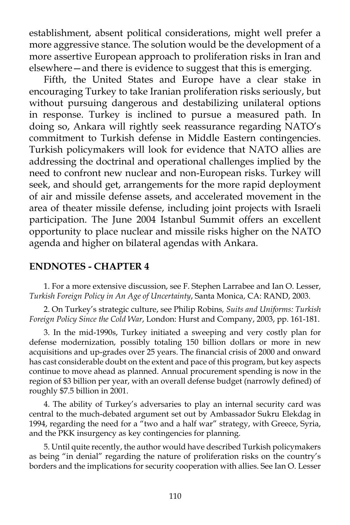establishment, absent political considerations, might well prefer a more aggressive stance. The solution would be the development of a more assertive European approach to proliferation risks in Iran and elsewhere—and there is evidence to suggest that this is emerging.

 Fifth, the United States and Europe have a clear stake in encouraging Turkey to take Iranian proliferation risks seriously, but without pursuing dangerous and destabilizing unilateral options in response. Turkey is inclined to pursue a measured path. In doing so, Ankara will rightly seek reassurance regarding NATO's commitment to Turkish defense in Middle Eastern contingencies. Turkish policymakers will look for evidence that NATO allies are addressing the doctrinal and operational challenges implied by the need to confront new nuclear and non-European risks. Turkey will seek, and should get, arrangements for the more rapid deployment of air and missile defense assets, and accelerated movement in the area of theater missile defense, including joint projects with Israeli participation. The June 2004 Istanbul Summit offers an excellent opportunity to place nuclear and missile risks higher on the NATO agenda and higher on bilateral agendas with Ankara.

## **ENDNOTES - CHAPTER 4**

 1. For a more extensive discussion, see F. Stephen Larrabee and Ian O. Lesser, *Turkish Foreign Policy in An Age of Uncertainty*, Santa Monica, CA: RAND, 2003.

 2. On Turkey's strategic culture, see Philip Robins*, Suits and Uniforms: Turkish Foreign Policy Since the Cold War*, London: Hurst and Company, 2003, pp. 161-181.

 3. In the mid-1990s, Turkey initiated a sweeping and very costly plan for defense modernization, possibly totaling 150 billion dollars or more in new acquisitions and up-grades over 25 years. The financial crisis of 2000 and onward has cast considerable doubt on the extent and pace of this program, but key aspects continue to move ahead as planned. Annual procurement spending is now in the region of \$3 billion per year, with an overall defense budget (narrowly defined) of roughly \$7.5 billion in 2001.

 4. The ability of Turkey's adversaries to play an internal security card was central to the much-debated argument set out by Ambassador Sukru Elekdag in 1994, regarding the need for a "two and a half war" strategy, with Greece, Syria, and the PKK insurgency as key contingencies for planning.

 5. Until quite recently, the author would have described Turkish policymakers as being "in denial" regarding the nature of proliferation risks on the country's borders and the implications for security cooperation with allies. See Ian O. Lesser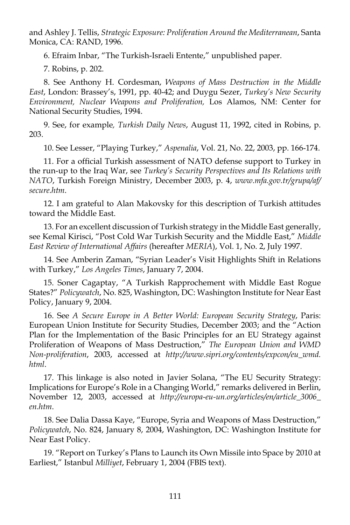and Ashley J. Tellis, *Strategic Exposure: Proliferation Around the Mediterranean*, Santa Monica, CA: RAND, 1996.

6. Efraim Inbar, "The Turkish-Israeli Entente," unpublished paper.

7. Robins, p. 202.

 8. See Anthony H. Cordesman, *Weapons of Mass Destruction in the Middle East*, London: Brassey's, 1991, pp. 40-42; and Duygu Sezer, *Turkey's New Security Environment, Nuclear Weapons and Proliferation,* Los Alamos, NM: Center for National Security Studies, 1994.

 9. See, for example*, Turkish Daily News*, August 11, 1992, cited in Robins, p. 203.

10. See Lesser, "Playing Turkey," *Aspenalia*, Vol. 21, No. 22, 2003, pp. 166-174.

 11. For a official Turkish assessment of NATO defense support to Turkey in the run-up to the Iraq War, see *Turkey's Security Perspectives and Its Relations with NATO*, Turkish Foreign Ministry, December 2003, p. 4, *www.mfa.gov.tr/grupa/af/ secure.htm*.

 12. I am grateful to Alan Makovsky for this description of Turkish attitudes toward the Middle East.

 13. For an excellent discussion of Turkish strategy in the Middle East generally, see Kemal Kirisci, "Post Cold War Turkish Security and the Middle East," *Middle East Review of International Affairs* (hereafter *MERIA*), Vol. 1, No. 2, July 1997.

 14. See Amberin Zaman, "Syrian Leader's Visit Highlights Shift in Relations with Turkey," *Los Angeles Times*, January 7, 2004.

 15. Soner Cagaptay, "A Turkish Rapprochement with Middle East Rogue States?" *Policywatch*, No. 825, Washington, DC: Washington Institute for Near East Policy, January 9, 2004.

 16. See *A Secure Europe in A Better World: European Security Strategy*, Paris: European Union Institute for Security Studies, December 2003; and the "Action Plan for the Implementation of the Basic Principles for an EU Strategy against Proliferation of Weapons of Mass Destruction," *The European Union and WMD Non-proliferation*, 2003, accessed at *http://www.sipri.org/contents/expcon/eu\_wmd. html*.

 17. This linkage is also noted in Javier Solana, "The EU Security Strategy: Implications for Europe's Role in a Changing World," remarks delivered in Berlin, November 12, 2003, accessed at *http://europa-eu-un.org/articles/en/article\_3006\_ en.htm*.

 18. See Dalia Dassa Kaye, "Europe, Syria and Weapons of Mass Destruction," *Policywatch*, No. 824, January 8, 2004, Washington, DC: Washington Institute for Near East Policy.

 19. "Report on Turkey's Plans to Launch its Own Missile into Space by 2010 at Earliest," Istanbul *Milliyet*, February 1, 2004 (FBIS text).